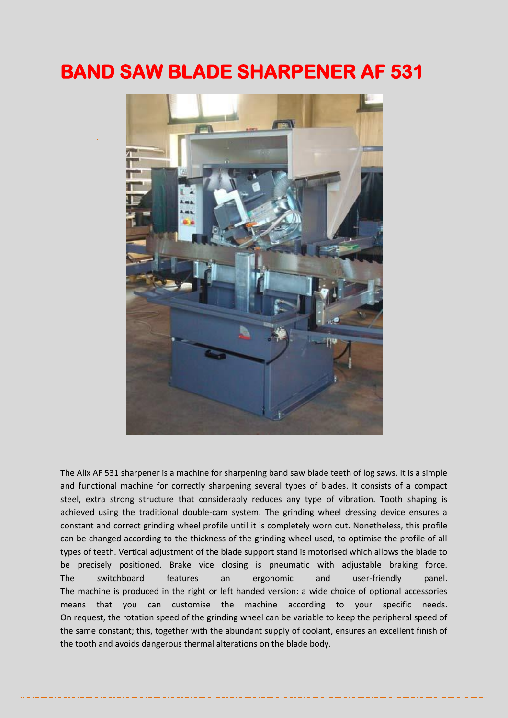## **BAND SAW BLADE SHARPENER AF 531**



The Alix AF 531 sharpener is a machine for sharpening band saw blade teeth of log saws. It is a simple and functional machine for correctly sharpening several types of blades. It consists of a compact steel, extra strong structure that considerably reduces any type of vibration. Tooth shaping is achieved using the traditional double-cam system. The grinding wheel dressing device ensures a constant and correct grinding wheel profile until it is completely worn out. Nonetheless, this profile can be changed according to the thickness of the grinding wheel used, to optimise the profile of all types of teeth. Vertical adjustment of the blade support stand is motorised which allows the blade to be precisely positioned. Brake vice closing is pneumatic with adjustable braking force. The switchboard features an ergonomic and user-friendly panel. The machine is produced in the right or left handed version: a wide choice of optional accessories means that you can customise the machine according to your specific needs. On request, the rotation speed of the grinding wheel can be variable to keep the peripheral speed of the same constant; this, together with the abundant supply of coolant, ensures an excellent finish of the tooth and avoids dangerous thermal alterations on the blade body.